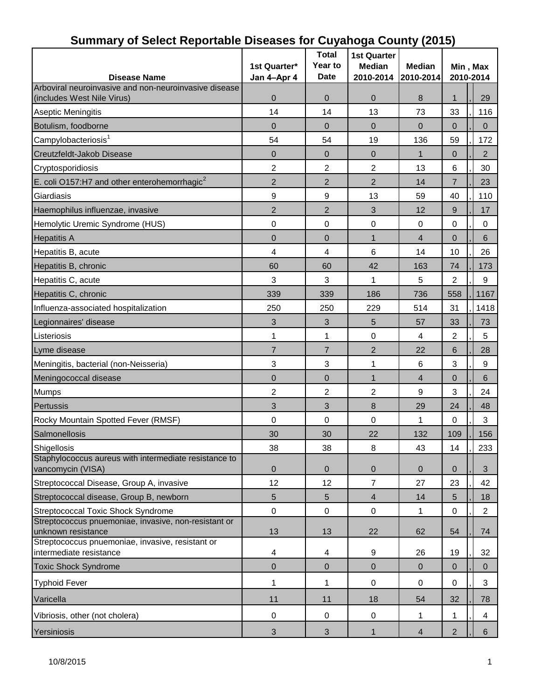| -- ---------- <b>--------</b><br><b>Disease Name</b>                       | 1st Quarter*<br>Jan 4-Apr 4 | <b>Total</b><br>Year to<br><b>Date</b> | <b>1st Quarter</b><br><b>Median</b><br>2010-2014 | יינד איז איז איז איז איז איז היידע<br><b>Median</b><br>2010-2014 | Min, Max<br>2010-2014 |                  |  |
|----------------------------------------------------------------------------|-----------------------------|----------------------------------------|--------------------------------------------------|------------------------------------------------------------------|-----------------------|------------------|--|
| Arboviral neuroinvasive and non-neuroinvasive disease                      |                             |                                        |                                                  |                                                                  |                       |                  |  |
| (includes West Nile Virus)                                                 | $\mathbf 0$                 | $\mathbf 0$                            | $\mathbf 0$                                      | 8                                                                | $\mathbf{1}$          | 29               |  |
| Aseptic Meningitis                                                         | 14                          | 14                                     | 13                                               | 73                                                               | 33                    | 116              |  |
| Botulism, foodborne                                                        | $\mathbf{0}$                | $\mathbf 0$                            | $\Omega$                                         | $\overline{0}$                                                   | 0                     | $\Omega$         |  |
| Campylobacteriosis <sup>1</sup>                                            | 54                          | 54                                     | 19                                               | 136                                                              | 59                    | 172              |  |
| Creutzfeldt-Jakob Disease                                                  | $\overline{0}$              | $\mathbf 0$                            | $\overline{0}$                                   | $\mathbf{1}$                                                     | $\mathbf{0}$          | $\overline{2}$   |  |
| Cryptosporidiosis                                                          | $\overline{c}$              | $\overline{c}$                         | $\overline{2}$                                   | 13                                                               | 6                     | 30               |  |
| E. coli O157:H7 and other enterohemorrhagic $^2$                           | $\overline{2}$              | $\overline{2}$                         | $\overline{2}$                                   | 14                                                               | $\overline{7}$        | 23               |  |
| Giardiasis                                                                 | $\boldsymbol{9}$            | $\boldsymbol{9}$                       | 13                                               | 59                                                               | 40                    | 110              |  |
| Haemophilus influenzae, invasive                                           | $\overline{2}$              | $\overline{2}$                         | 3                                                | 12                                                               | 9                     | 17               |  |
| Hemolytic Uremic Syndrome (HUS)                                            | 0                           | $\boldsymbol{0}$                       | $\boldsymbol{0}$                                 | $\pmb{0}$                                                        | $\mathbf 0$           | 0                |  |
| <b>Hepatitis A</b>                                                         | $\overline{0}$              | $\mathbf 0$                            | $\mathbf{1}$                                     | $\overline{4}$                                                   | $\mathbf{0}$          | $\,6$            |  |
| Hepatitis B, acute                                                         | 4                           | $\overline{\mathbf{4}}$                | 6                                                | 14                                                               | 10                    | 26               |  |
| Hepatitis B, chronic                                                       | 60                          | 60                                     | 42                                               | 163                                                              | 74                    | 173              |  |
| Hepatitis C, acute                                                         | 3                           | 3                                      | 1                                                | 5                                                                | $\overline{2}$        | 9                |  |
| Hepatitis C, chronic                                                       | 339                         | 339                                    | 186                                              | 736                                                              | 558                   | 1167             |  |
| Influenza-associated hospitalization                                       | 250                         | 250                                    | 229                                              | 514                                                              | 31                    | 1418             |  |
|                                                                            |                             |                                        |                                                  |                                                                  |                       |                  |  |
| Legionnaires' disease                                                      | $\sqrt{3}$                  | $\sqrt{3}$                             | 5                                                | 57                                                               | 33                    | 73               |  |
| Listeriosis                                                                | 1                           | 1                                      | $\mathbf 0$                                      | $\overline{4}$                                                   | 2                     | 5                |  |
| Lyme disease                                                               | $\overline{7}$              | $\overline{7}$                         | $\overline{2}$                                   | 22                                                               | 6                     | 28               |  |
| Meningitis, bacterial (non-Neisseria)                                      | 3                           | 3                                      | $\mathbf{1}$                                     | 6                                                                | 3                     | $\boldsymbol{9}$ |  |
| Meningococcal disease                                                      | $\mathbf 0$                 | $\mathbf 0$                            | $\mathbf{1}$                                     | $\overline{4}$                                                   | $\overline{0}$        | 6                |  |
| <b>Mumps</b>                                                               | 2                           | 2                                      | $\overline{2}$                                   | $\boldsymbol{9}$                                                 | 3                     | 24               |  |
| Pertussis                                                                  | 3                           | 3                                      | 8                                                | 29                                                               | 24                    | 48               |  |
| Rocky Mountain Spotted Fever (RMSF)                                        | 0                           | $\mathbf 0$                            | $\mathbf 0$                                      | $\mathbf{1}$                                                     | 0                     | 3                |  |
| Salmonellosis                                                              | 30                          | 30                                     | 22                                               | 132                                                              | 109                   | 156              |  |
| Shigellosis                                                                | 38                          | 38                                     | 8                                                | 43                                                               | 14                    | 233              |  |
| Staphylococcus aureus with intermediate resistance to<br>vancomycin (VISA) | $\pmb{0}$                   | $\pmb{0}$                              | $\pmb{0}$                                        | $\mathbf 0$                                                      | $\mathbf{0}$          | 3                |  |
| Streptococcal Disease, Group A, invasive                                   | 12                          | 12                                     | $\overline{7}$                                   | 27                                                               | 23                    | 42               |  |
| Streptococcal disease, Group B, newborn                                    | 5                           | 5                                      | $\overline{4}$                                   | 14                                                               | 5                     | 18               |  |
| Streptococcal Toxic Shock Syndrome                                         | $\pmb{0}$                   | $\mathbf 0$                            | $\mathbf 0$                                      | 1                                                                | 0                     | $\overline{2}$   |  |
| Streptococcus pnuemoniae, invasive, non-resistant or<br>unknown resistance | 13                          | 13                                     | 22                                               | 62                                                               | 54                    | 74               |  |
| Streptococcus pnuemoniae, invasive, resistant or                           |                             |                                        |                                                  |                                                                  |                       |                  |  |
| intermediate resistance                                                    | $\overline{\mathcal{A}}$    | 4                                      | 9                                                | 26                                                               | 19                    | 32               |  |
| <b>Toxic Shock Syndrome</b>                                                | $\mathbf 0$                 | $\pmb{0}$                              | $\mathbf 0$                                      | $\overline{0}$                                                   | $\mathbf{0}$          | $\overline{0}$   |  |
| <b>Typhoid Fever</b>                                                       | 1                           | 1                                      | $\pmb{0}$                                        | 0                                                                | 0                     | 3                |  |
| Varicella                                                                  | 11                          | 11                                     | 18                                               | 54                                                               | 32                    | 78               |  |
| Vibriosis, other (not cholera)                                             | $\pmb{0}$                   | 0                                      | $\pmb{0}$                                        | 1                                                                | 1                     | 4                |  |
| Yersiniosis                                                                | $\mathfrak{S}$              | $\sqrt{3}$                             | $\mathbf{1}$                                     | $\overline{4}$                                                   | $\overline{2}$        | 6                |  |

### **Summary of Select Reportable Diseases for Cuyahoga County (2015)**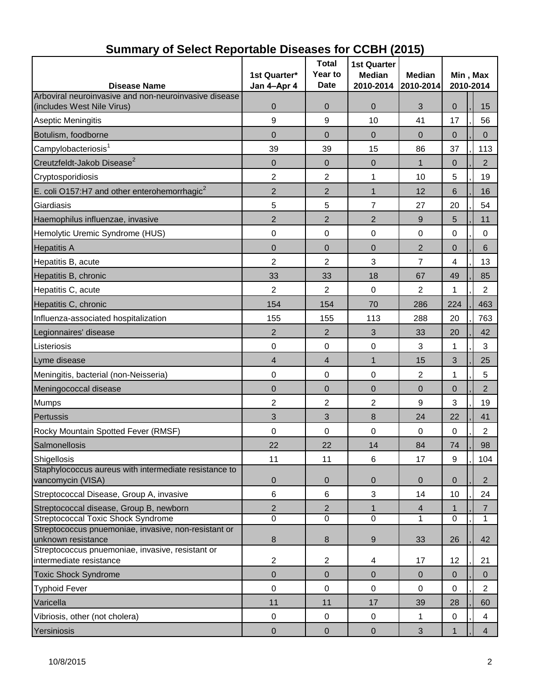| <b>Disease Name</b>                                                         | 1st Quarter*<br>Jan 4-Apr 4 | <b>Total</b><br>Year to<br><b>Date</b> | <b>1st Quarter</b><br><b>Median</b><br>2010-2014 | <b>Median</b><br>2010-2014 | Min, Max<br>2010-2014 |                |  |
|-----------------------------------------------------------------------------|-----------------------------|----------------------------------------|--------------------------------------------------|----------------------------|-----------------------|----------------|--|
| Arboviral neuroinvasive and non-neuroinvasive disease                       |                             |                                        |                                                  |                            |                       |                |  |
| (includes West Nile Virus)                                                  | 0                           | $\mathbf 0$                            | $\mathbf 0$                                      | 3                          | $\mathbf 0$           | 15             |  |
| <b>Aseptic Meningitis</b>                                                   | 9                           | 9                                      | 10                                               | 41                         | 17                    | 56             |  |
| Botulism, foodborne                                                         | $\overline{0}$              | $\overline{0}$                         | $\Omega$                                         | $\Omega$                   | $\Omega$              | $\Omega$       |  |
| Campylobacteriosis <sup>1</sup>                                             | 39                          | 39                                     | 15                                               | 86                         | 37                    | 113            |  |
| Creutzfeldt-Jakob Disease <sup>2</sup>                                      | 0                           | $\mathbf 0$                            | $\mathbf 0$                                      | 1                          | 0                     | $\overline{2}$ |  |
| Cryptosporidiosis                                                           | 2                           | 2                                      | 1                                                | 10                         | 5                     | 19             |  |
| E. coli O157:H7 and other enterohemorrhagic $2$                             | $\overline{2}$              | 2                                      | $\mathbf{1}$                                     | 12                         | 6                     | 16             |  |
| Giardiasis                                                                  | 5                           | 5                                      | $\overline{7}$                                   | 27                         | 20                    | 54             |  |
| Haemophilus influenzae, invasive                                            | $\overline{2}$              | $\overline{2}$                         | $\overline{2}$                                   | 9                          | 5                     | 11             |  |
| Hemolytic Uremic Syndrome (HUS)                                             | $\pmb{0}$                   | $\boldsymbol{0}$                       | 0                                                | 0                          | 0                     | 0              |  |
| <b>Hepatitis A</b>                                                          | 0                           | 0                                      | $\mathbf 0$                                      | 2                          | 0                     | 6              |  |
| Hepatitis B, acute                                                          | 2                           | 2                                      | 3                                                | 7                          | 4                     | 13             |  |
| Hepatitis B, chronic                                                        | 33                          | 33                                     | 18                                               | 67                         | 49                    | 85             |  |
| Hepatitis C, acute                                                          | 2                           | $\overline{2}$                         | $\mathbf 0$                                      | 2                          | 1                     | $\overline{2}$ |  |
| Hepatitis C, chronic                                                        | 154                         | 154                                    | 70                                               | 286                        | 224                   | 463            |  |
| Influenza-associated hospitalization                                        | 155                         | 155                                    | 113                                              | 288                        | 20                    | 763            |  |
| Legionnaires' disease                                                       | $\overline{2}$              | 2                                      | 3                                                | 33                         | 20                    | 42             |  |
| Listeriosis                                                                 | 0                           | 0                                      | 0                                                | 3                          | 1                     | 3              |  |
| Lyme disease                                                                | 4                           | 4                                      | $\mathbf{1}$                                     | 15                         | 3                     | 25             |  |
| Meningitis, bacterial (non-Neisseria)                                       | $\pmb{0}$                   | $\pmb{0}$                              | 0                                                | $\overline{c}$             | 1                     | 5              |  |
| Meningococcal disease                                                       | 0                           | $\mathbf 0$                            | $\mathbf 0$                                      | $\overline{0}$             | $\overline{0}$        | $\overline{2}$ |  |
| <b>Mumps</b>                                                                | 2                           | 2                                      | $\overline{2}$                                   | $\boldsymbol{9}$           | 3                     | 19             |  |
| Pertussis                                                                   | 3                           | 3                                      | 8                                                | 24                         | 22                    | 41             |  |
| Rocky Mountain Spotted Fever (RMSF)                                         | $\mathbf 0$                 | $\mathbf 0$                            | 0                                                | $\mathbf 0$                | 0                     | $\overline{2}$ |  |
| Salmonellosis                                                               | 22                          | 22                                     | 14                                               | 84                         | 74                    | 98             |  |
| Shigellosis                                                                 | 11                          | 11                                     | 6                                                | 17                         | $\boldsymbol{9}$      | 104            |  |
| Staphylococcus aureus with intermediate resistance to<br>vancomycin (VISA)  | $\mathbf 0$                 | $\mathbf 0$                            | $\mathbf 0$                                      | $\overline{0}$             | $\overline{0}$        | $\overline{2}$ |  |
| Streptococcal Disease, Group A, invasive                                    | 6                           | 6                                      | 3                                                | 14                         | 10                    | 24             |  |
| Streptococcal disease, Group B, newborn                                     | 2                           | $\overline{2}$                         | 1                                                | $\overline{4}$             |                       | $\overline{7}$ |  |
| <b>Streptococcal Toxic Shock Syndrome</b>                                   | $\overline{0}$              | $\overline{0}$                         | $\mathbf 0$                                      | 1                          | 0                     | $\mathbf{1}$   |  |
| Streptococcus pnuemoniae, invasive, non-resistant or<br>unknown resistance  | 8                           | $\bf 8$                                | 9                                                | 33                         | 26                    | 42             |  |
| Streptococcus pnuemoniae, invasive, resistant or<br>intermediate resistance | 2                           | $\overline{c}$                         | 4                                                | 17                         | 12                    | 21             |  |
| <b>Toxic Shock Syndrome</b>                                                 | $\mathbf 0$                 | $\overline{0}$                         | $\mathbf 0$                                      | $\mathbf{0}$               | $\mathbf{0}$          | $\mathbf 0$    |  |
| <b>Typhoid Fever</b>                                                        | $\pmb{0}$                   | $\mathbf 0$                            | $\pmb{0}$                                        | 0                          | 0                     | $\overline{2}$ |  |
| Varicella                                                                   | 11                          | 11                                     | 17                                               | 39                         | 28                    | 60             |  |
| Vibriosis, other (not cholera)                                              | $\pmb{0}$                   | $\pmb{0}$                              | $\pmb{0}$                                        | 1                          | 0                     | 4              |  |
| Yersiniosis                                                                 | $\pmb{0}$                   | $\pmb{0}$                              | $\mathbf 0$                                      | $\mathbf{3}$               | 1                     | $\overline{4}$ |  |

### **Summary of Select Reportable Diseases for CCBH (2015)**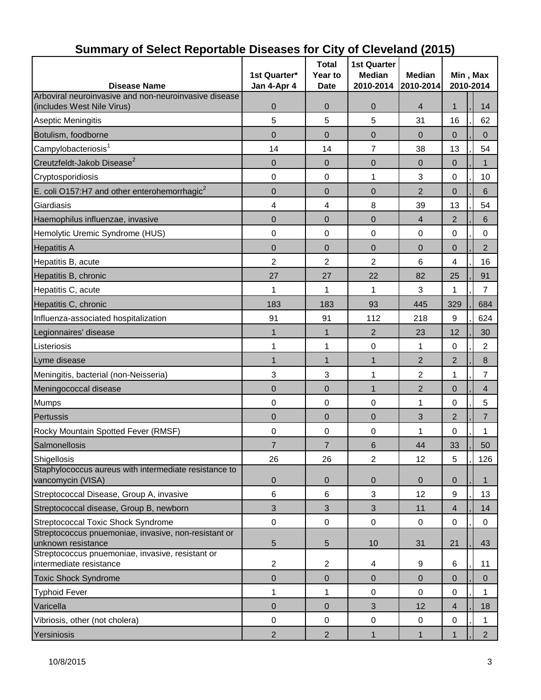| <b>Disease Name</b>                                                                 | 1st Quarter*<br>Jan 4-Apr 4 | <b>Total</b><br>Year to<br><b>Date</b> | <b>1st Quarter</b><br><b>Median</b><br>2010-2014 | <b>Median</b><br>2010-2014 | Min, Max<br>2010-2014 |                |  |
|-------------------------------------------------------------------------------------|-----------------------------|----------------------------------------|--------------------------------------------------|----------------------------|-----------------------|----------------|--|
| Arboviral neuroinvasive and non-neuroinvasive disease<br>(includes West Nile Virus) | 0                           | 0                                      | 0                                                | $\overline{4}$             | 1                     | 14             |  |
| Aseptic Meningitis                                                                  | 5                           | 5                                      | 5                                                | 31                         | 16                    | 62             |  |
| Botulism, foodborne                                                                 | $\overline{0}$              | 0                                      | $\overline{0}$                                   | $\overline{0}$             | $\overline{0}$        | $\Omega$       |  |
| Campylobacteriosis <sup>1</sup>                                                     | 14                          | 14                                     | $\overline{7}$                                   | 38                         | 13                    | 54             |  |
| Creutzfeldt-Jakob Disease <sup>2</sup>                                              | $\overline{0}$              | $\overline{0}$                         | $\mathbf 0$                                      | $\overline{0}$             | $\mathbf{0}$          | 1              |  |
| Cryptosporidiosis                                                                   | 0                           | $\mathbf 0$                            | 1                                                | 3                          | 0                     | 10             |  |
| E. coli O157:H7 and other enterohemorrhagic <sup>2</sup>                            | $\mathbf 0$                 | $\overline{0}$                         | $\mathbf 0$                                      | $\overline{2}$             | $\overline{0}$        | 6              |  |
| Giardiasis                                                                          | 4                           | 4                                      | 8                                                | 39                         | 13                    | 54             |  |
| Haemophilus influenzae, invasive                                                    | $\overline{0}$              | 0                                      | $\overline{0}$                                   | 4                          | $\overline{2}$        | 6              |  |
| Hemolytic Uremic Syndrome (HUS)                                                     | 0                           | 0                                      | $\mathbf 0$                                      | 0                          | 0                     | 0              |  |
| <b>Hepatitis A</b>                                                                  | $\overline{0}$              | 0                                      | $\overline{0}$                                   | $\overline{0}$             | $\overline{0}$        | $\overline{2}$ |  |
| Hepatitis B, acute                                                                  | 2                           | $\overline{2}$                         | 2                                                | 6                          | 4                     | 16             |  |
| Hepatitis B, chronic                                                                | 27                          | 27                                     | 22                                               | 82                         | 25                    | 91             |  |
| Hepatitis C, acute                                                                  | 1                           | 1                                      | 1                                                | 3                          | 1                     | $\overline{7}$ |  |
| Hepatitis C, chronic                                                                | 183                         | 183                                    | 93                                               | 445                        | 329                   | 684            |  |
| Influenza-associated hospitalization                                                | 91                          | 91                                     | 112                                              | 218                        | 9                     | 624            |  |
| Legionnaires' disease                                                               | $\mathbf 1$                 | 1                                      | $\overline{2}$                                   | 23                         | 12                    | 30             |  |
| Listeriosis                                                                         | 1                           | 1                                      | $\mathbf 0$                                      | 1                          | $\mathbf 0$           | $\overline{2}$ |  |
| Lyme disease                                                                        | $\mathbf{1}$                | $\mathbf{1}$                           | $\mathbf{1}$                                     | 2                          | $\overline{2}$        | $\bf 8$        |  |
| Meningitis, bacterial (non-Neisseria)                                               | 3                           | 3                                      | 1                                                | $\overline{2}$             | 1                     | $\overline{7}$ |  |
| Meningococcal disease                                                               | $\mathbf 0$                 | $\overline{0}$                         | $\mathbf{1}$                                     | $\overline{2}$             | $\mathbf 0$           | $\overline{4}$ |  |
| Mumps                                                                               | 0                           | 0                                      | 0                                                | 1                          | 0                     | 5              |  |
| Pertussis                                                                           | $\overline{0}$              | 0                                      | $\overline{0}$                                   | 3                          | 2                     | $\overline{7}$ |  |
| Rocky Mountain Spotted Fever (RMSF)                                                 | 0                           | 0                                      | 0                                                | 1                          | 0                     | 1              |  |
| Salmonellosis                                                                       | $\overline{7}$              | $\overline{7}$                         | 6                                                | 44                         | 33                    | 50             |  |
| Shigellosis                                                                         | 26                          | 26                                     | $\overline{c}$                                   | 12                         | 5                     | 126            |  |
| Staphylococcus aureus with intermediate resistance to<br>vancomycin (VISA)          | $\mathbf 0$                 | $\mathbf 0$                            | $\mathbf 0$                                      | 0                          | $\mathbf 0$           | $\mathbf 1$    |  |
| Streptococcal Disease, Group A, invasive                                            | 6                           | 6                                      | 3                                                | 12                         | 9                     | 13             |  |
| Streptococcal disease, Group B, newborn                                             | 3                           | $\sqrt{3}$                             | $\mathfrak{S}$                                   | 11                         | $\overline{4}$        | 14             |  |
| <b>Streptococcal Toxic Shock Syndrome</b>                                           | $\mathbf 0$                 | $\mathbf 0$                            | $\mathbf 0$                                      | $\mathbf 0$                | 0                     | $\mathbf 0$    |  |
| Streptococcus pnuemoniae, invasive, non-resistant or<br>unknown resistance          | 5                           | 5                                      | 10                                               | 31                         | 21                    | 43             |  |
| Streptococcus pnuemoniae, invasive, resistant or<br>intermediate resistance         | $\overline{c}$              | $\overline{2}$                         | 4                                                | 9                          | 6                     | 11             |  |
| <b>Toxic Shock Syndrome</b>                                                         | 0                           | $\mathbf 0$                            | $\pmb{0}$                                        | $\overline{0}$             | $\mathbf{0}$          | $\mathbf 0$    |  |
| <b>Typhoid Fever</b>                                                                | 1                           | 1                                      | 0                                                | 0                          | 0                     | 1              |  |
| Varicella                                                                           | $\mathbf 0$                 | $\pmb{0}$                              | 3                                                | 12                         | $\overline{4}$        | 18             |  |
| Vibriosis, other (not cholera)                                                      | 0                           | $\mathbf 0$                            | $\pmb{0}$                                        | 0                          | $\pmb{0}$             | 1              |  |
| Yersiniosis                                                                         | $\overline{2}$              | $\overline{2}$                         | $\mathbf{1}$                                     | $\mathbf{1}$               | 1                     | 2 <sup>7</sup> |  |

# **Summary of Select Reportable Diseases for City of Cleveland (2015)**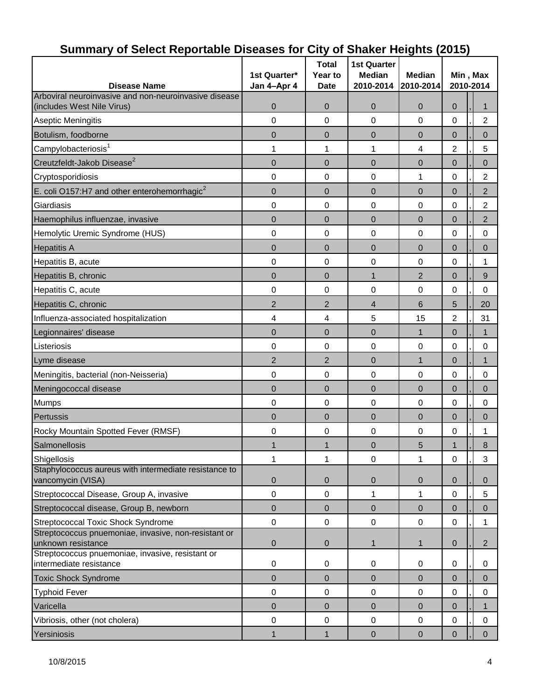| <b>Disease Name</b>                                                         | 1st Quarter*<br>Jan 4-Apr 4 | <b>Total</b><br>Year to<br><b>Date</b> | <b>1st Quarter</b><br><b>Median</b><br>2010-2014 | <b>Median</b><br>2010-2014 | Min, Max<br>2010-2014 |  |                |
|-----------------------------------------------------------------------------|-----------------------------|----------------------------------------|--------------------------------------------------|----------------------------|-----------------------|--|----------------|
| Arboviral neuroinvasive and non-neuroinvasive disease                       |                             |                                        |                                                  |                            |                       |  |                |
| (includes West Nile Virus)                                                  | 0                           | $\overline{0}$                         | $\overline{0}$                                   | $\mathbf 0$                | $\overline{0}$        |  | 1              |
| <b>Aseptic Meningitis</b>                                                   | 0                           | 0                                      | 0                                                | 0                          | 0                     |  | $\overline{c}$ |
| Botulism, foodborne                                                         | 0                           | 0                                      | 0                                                | $\overline{0}$             | 0                     |  | $\overline{0}$ |
| Campylobacteriosis <sup>1</sup>                                             | 1                           | 1                                      | 1                                                | 4                          | $\overline{2}$        |  | 5              |
| Creutzfeldt-Jakob Disease <sup>2</sup>                                      | $\mathbf 0$                 | $\mathbf 0$                            | $\mathbf 0$                                      | $\mathbf 0$                | $\overline{0}$        |  | $\overline{0}$ |
| Cryptosporidiosis                                                           | 0                           | 0                                      | 0                                                | 1                          | 0                     |  | 2              |
| E. coli O157:H7 and other enterohemorrhagic $2$                             | $\mathbf 0$                 | $\mathbf 0$                            | $\mathbf 0$                                      | $\mathbf 0$                | $\mathbf 0$           |  | $\overline{c}$ |
| Giardiasis                                                                  | 0                           | 0                                      | $\pmb{0}$                                        | 0                          | 0                     |  | $\overline{c}$ |
| Haemophilus influenzae, invasive                                            | 0                           | 0                                      | $\overline{0}$                                   | $\overline{0}$             | $\overline{0}$        |  | $\overline{2}$ |
| Hemolytic Uremic Syndrome (HUS)                                             | 0                           | 0                                      | 0                                                | 0                          | 0                     |  | 0              |
| <b>Hepatitis A</b>                                                          | $\overline{0}$              | $\overline{0}$                         | $\overline{0}$                                   | $\mathbf 0$                | $\overline{0}$        |  | 0              |
| Hepatitis B, acute                                                          | 0                           | 0                                      | 0                                                | 0                          | 0                     |  | 1              |
| Hepatitis B, chronic                                                        | $\mathbf 0$                 | $\mathbf 0$                            | $\mathbf{1}$                                     | $\overline{2}$             | $\mathbf 0$           |  | 9              |
| Hepatitis C, acute                                                          | 0                           | 0                                      | 0                                                | 0                          | 0                     |  | $\mathbf 0$    |
| Hepatitis C, chronic                                                        | $\overline{2}$              | $\overline{2}$                         | $\overline{4}$                                   | 6                          | 5                     |  | 20             |
| Influenza-associated hospitalization                                        | 4                           | 4                                      | 5                                                | 15                         | $\overline{c}$        |  | 31             |
| Legionnaires' disease                                                       | $\overline{0}$              | 0                                      | $\overline{0}$                                   | $\mathbf 1$                | $\pmb{0}$             |  | $\mathbf{1}$   |
| Listeriosis                                                                 | 0                           | 0                                      | 0                                                | 0                          | 0                     |  | $\mathbf 0$    |
| Lyme disease                                                                | $\overline{2}$              | $\overline{2}$                         | $\mathbf 0$                                      | $\mathbf{1}$               | $\mathbf 0$           |  | $\mathbf{1}$   |
| Meningitis, bacterial (non-Neisseria)                                       | 0                           | 0                                      | 0                                                | 0                          | 0                     |  | 0              |
| Meningococcal disease                                                       | 0                           | 0                                      | $\overline{0}$                                   | $\overline{0}$             | 0                     |  | $\overline{0}$ |
| <b>Mumps</b>                                                                | 0                           | 0                                      | 0                                                | 0                          | 0                     |  | 0              |
| Pertussis                                                                   | $\overline{0}$              | 0                                      | $\overline{0}$                                   | $\overline{0}$             | $\overline{0}$        |  | $\overline{0}$ |
| Rocky Mountain Spotted Fever (RMSF)                                         | 0                           | 0                                      | 0                                                | 0                          | 0                     |  | 1              |
| Salmonellosis                                                               | 1                           | $\mathbf{1}$                           | $\overline{0}$                                   | 5                          | $\mathbf{1}$          |  | 8              |
| Shigellosis                                                                 | 1                           | 1                                      | $\pmb{0}$                                        | 1                          | $\mathsf 0$           |  | 3              |
| Staphylococcus aureus with intermediate resistance to<br>vancomycin (VISA)  | 0                           | 0                                      | $\mathbf 0$                                      | $\mathbf 0$                | $\mathbf 0$           |  | $\mathbf{0}$   |
| Streptococcal Disease, Group A, invasive                                    | 0                           | $\mathbf 0$                            | 1                                                | 1                          | $\mathsf 0$           |  | 5              |
| Streptococcal disease, Group B, newborn                                     | $\mathsf 0$                 | $\pmb{0}$                              | $\pmb{0}$                                        | $\overline{0}$             | $\pmb{0}$             |  | $\pmb{0}$      |
| Streptococcal Toxic Shock Syndrome                                          | 0                           | $\boldsymbol{0}$                       | $\pmb{0}$                                        | 0                          | 0                     |  | 1              |
| Streptococcus pnuemoniae, invasive, non-resistant or<br>unknown resistance  | 0                           | 0                                      | $\mathbf{1}$                                     | 1                          | $\pmb{0}$             |  | $\overline{2}$ |
| Streptococcus pnuemoniae, invasive, resistant or<br>intermediate resistance | $\pmb{0}$                   | 0                                      | 0                                                | 0                          | 0                     |  | 0              |
| <b>Toxic Shock Syndrome</b>                                                 | $\mathbf 0$                 | $\mathbf 0$                            | $\overline{0}$                                   | $\mathbf 0$                | $\pmb{0}$             |  | $\pmb{0}$      |
| <b>Typhoid Fever</b>                                                        | 0                           | 0                                      | $\mathbf 0$                                      | 0                          | 0                     |  | $\pmb{0}$      |
| Varicella                                                                   | $\mathbf 0$                 | 0                                      | $\overline{0}$                                   | $\mathbf 0$                | $\pmb{0}$             |  | $\mathbf{1}$   |
| Vibriosis, other (not cholera)                                              | 0                           | $\boldsymbol{0}$                       | $\pmb{0}$                                        | $\pmb{0}$                  | $\mathsf 0$           |  | $\mathbf 0$    |
| Yersiniosis                                                                 | 1                           | $\mathbf{1}$                           | $\pmb{0}$                                        | $\overline{0}$             | $\mathbf 0$           |  | $\mathbf{0}$   |

# **Summary of Select Reportable Diseases for City of Shaker Heights (2015)**